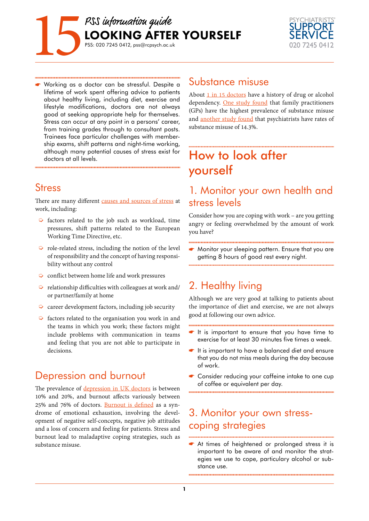



 Working as a doctor can be stressful. Despite a lifetime of work spent offering advice to patients about healthy living, including diet, exercise and lifestyle modifications, doctors are not always good at seeking appropriate help for themselves. Stress can occur at any point in a persons' career, from training grades through to consultant posts. Trainees face particular challenges with membership exams, shift patterns and night-time working, although many potential causes of stress exist for doctors at all levels.

#### Stress

<span id="page-0-0"></span>There are many different [causes and sources of stress](#page-2-0) at work, including:

- $\triangleright$  factors related to the job such as workload, time pressures, shift patterns related to the European Working Time Directive, etc.
- $\triangleright$  role-related stress, including the notion of the level of responsibility and the concept of having responsibility without any control
- $\bullet$  conflict between home life and work pressures
- $\blacktriangleright$  relationship difficulties with colleagues at work and/ or partner/family at home
- $\Diamond$  career development factors, including job security
- $\triangleright$  factors related to the organisation you work in and the teams in which you work; these factors might include problems with communication in teams and feeling that you are not able to participate in decisions.

### Depression and burnout

<span id="page-0-5"></span><span id="page-0-2"></span>The prevalence of [depression in UK doctors](#page-2-1) is between 10% and 20%, and burnout affects variously between 25% and 76% of doctors. [Burnout is defined](#page-2-2) as a syndrome of emotional exhaustion, involving the development of negative self-concepts, negative job attitudes and a loss of concern and feeling for patients. Stress and burnout lead to maladaptive coping strategies, such as substance misuse.

#### Substance misuse

<span id="page-0-4"></span><span id="page-0-3"></span><span id="page-0-1"></span>About  $1$  in 15 doctors have a history of drug or alcohol dependency. [One study found](#page-2-4) that family practitioners (GPs) have the highest prevalence of substance misuse and [another study found](#page-2-5) that psychiatrists have rates of substance misuse of 14.3%.

# How to look after yourself

### 1. Monitor your own health and stress levels

Consider how you are coping with work – are you getting angry or feeling overwhelmed by the amount of work you have?

**Monitor your sleeping pattern. Ensure that you are** getting 8 hours of good rest every night.

# 2. Healthy living

Although we are very good at talking to patients about the importance of diet and exercise, we are not always good at following our own advice.

- It is important to ensure that you have time to exercise for at least 30 minutes five times a week.
- It is important to have a balanced diet and ensure that you do not miss meals during the day because of work.
- Consider reducing your caffeine intake to one cup of coffee or equivalent per day.

# 3. Monitor your own stresscoping strategies

At times of heightened or prolonged stress it is important to be aware of and monitor the strategies we use to cope, particulary alcohol or substance use.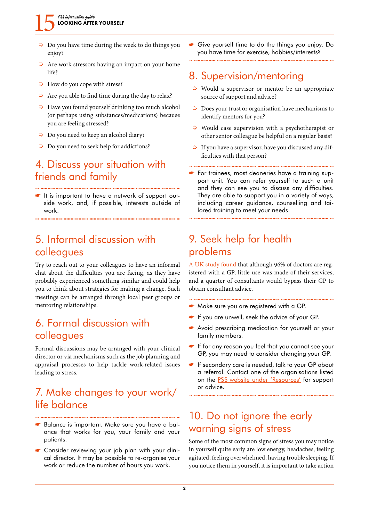#### PSS information quide LOOKING AFTER YOURSELF

- $\triangleright$  Do you have time during the week to do things you enjoy?
- $\triangleright$  Are work stressors having an impact on your home life?
- $\Rightarrow$  How do you cope with stress?
- $\rightarrow$  Are you able to find time during the day to relax?
- $\rightarrow$  Have you found yourself drinking too much alcohol (or perhaps using substances/medications) because you are feeling stressed?
- $\triangleright$  Do you need to keep an alcohol diary?
- $\triangleright$  Do you need to seek help for addictions?

#### 4. Discuss your situation with friends and family

It is important to have a network of support outside work, and, if possible, interests outside of work.

### 5. Informal discussion with colleagues

Try to reach out to your colleagues to have an informal chat about the difficulties you are facing, as they have probably experienced something similar and could help you to think about strategies for making a change. Such meetings can be arranged through local peer groups or mentoring relationships.

### 6. Formal discussion with colleagues

Formal discussions may be arranged with your clinical director or via mechanisms such as the job planning and appraisal processes to help tackle work-related issues leading to stress.

### 7. Make changes to your work/ life balance

- Balance is important. Make sure you have a balance that works for you, your family and your patients.
- Consider reviewing your job plan with your clinical director. It may be possible to re-organise your work or reduce the number of hours you work.

Give yourself time to do the things you enjoy. Do you have time for exercise, hobbies/interests?

### 8. Supervision/mentoring

- $\triangleright$  Would a supervisor or mentor be an appropriate source of support and advice?
- $\triangleright$  Does your trust or organisation have mechanisms to identify mentors for you?
- $\triangleright$  Would case supervision with a psychotherapist or other senior colleague be helpful on a regular basis?
- $\triangleright$  If you have a supervisor, have you discussed any difficulties with that person?
- For trainees, most deaneries have a training support unit. You can refer yourself to such a unit and they can see you to discuss any difficulties. They are able to support you in a variety of ways, including career guidance, counselling and tailored training to meet your needs.

# 9. Seek help for health problems

<span id="page-1-0"></span>[A UK study found](#page-2-6) that although 96% of doctors are registered with a GP, little use was made of their services, and a quarter of consultants would bypass their GP to obtain consultant advice.

- Make sure you are registered with a GP.
- If you are unwell, seek the advice of your GP.
- Avoid prescribing medication for yourself or your family members.
- If for any reason you feel that you cannot see your GP, you may need to consider changing your GP.
- **If secondary care is needed, talk to your GP about** a refer[ral. Contact one of the organis](http://www.rcpsych.ac.uk/workinpsychiatry/psychiatristssupportservice/resources.aspx)ations listed on the PSS website under 'Resources' for support or advice.

# 10. Do not ignore the early warning signs of stress

Some of the most common signs of stress you may notice in yourself quite early are low energy, headaches, feeling agitated, feeling overwhelmed, having trouble sleeping. If you notice them in yourself, it is important to take action